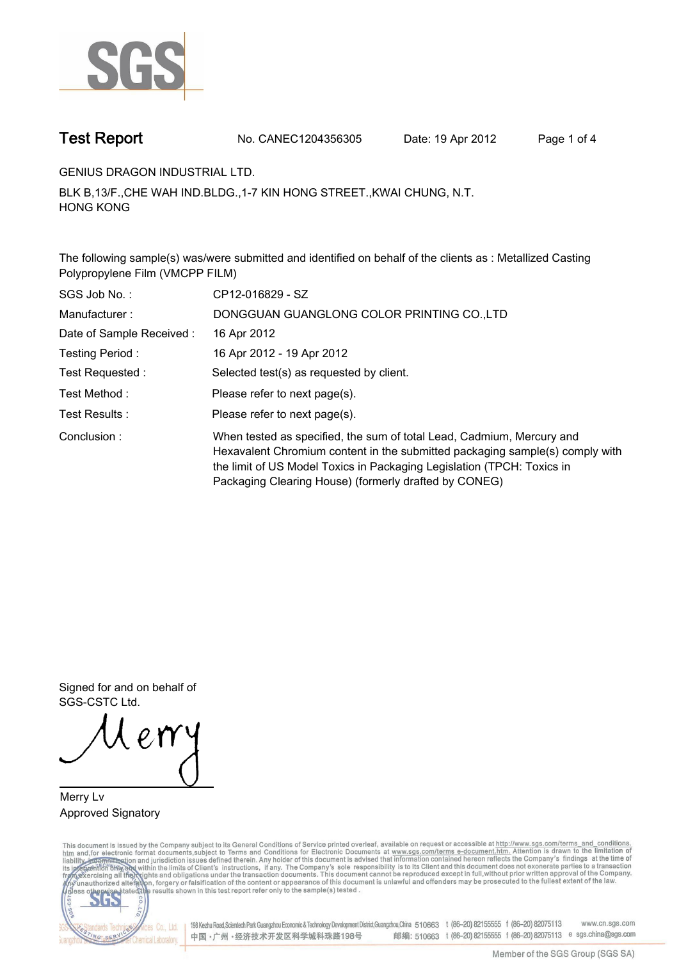

**Test Report. No. CANEC1204356305 Date: 19 Apr 2012. Page 1 of 4.**

**GENIUS DRAGON INDUSTRIAL LTD..**

**BLK B,13/F.,CHE WAH IND.BLDG.,1-7 KIN HONG STREET.,KWAI CHUNG, N.T. HONG KONG.**

**The following sample(s) was/were submitted and identified on behalf of the clients as : Metallized Casting Polypropylene Film (VMCPP FILM).**

| SGS Job No.:             | CP12-016829 - SZ                                                                                                                                                                                                                                                                         |
|--------------------------|------------------------------------------------------------------------------------------------------------------------------------------------------------------------------------------------------------------------------------------------------------------------------------------|
| Manufacturer:            | DONGGUAN GUANGLONG COLOR PRINTING CO.,LTD                                                                                                                                                                                                                                                |
| Date of Sample Received: | 16 Apr 2012                                                                                                                                                                                                                                                                              |
| Testing Period:          | 16 Apr 2012 - 19 Apr 2012                                                                                                                                                                                                                                                                |
| Test Requested :         | Selected test(s) as requested by client.                                                                                                                                                                                                                                                 |
| Test Method :            | Please refer to next page(s).                                                                                                                                                                                                                                                            |
| Test Results :           | Please refer to next page(s).                                                                                                                                                                                                                                                            |
| Conclusion:              | When tested as specified, the sum of total Lead, Cadmium, Mercury and<br>Hexavalent Chromium content in the submitted packaging sample(s) comply with<br>the limit of US Model Toxics in Packaging Legislation (TPCH: Toxics in<br>Packaging Clearing House) (formerly drafted by CONEG) |

**Signed for and on behalf of SGS-CSTC Ltd..**

**Merry Lv. Approved Signatory.**

This document is issued by the Company subject to its General Conditions of Service printed overleaf, available on request or accessible at http://www.sgs.com/terms\_and\_conditions.<br>htm\_and, for electronic format documents,



198 Kezhu Road, Scientech Park Guangzhou Economic & Technology Development District, Guangzhou, China 510663 t (86-20) 82155555 f (86-20) 82075113 www.cn.sgs.com 邮编: 510663 t (86-20) 82155555 f (86-20) 82075113 e sgs.china@sgs.com 中国·广州·经济技术开发区科学城科珠路198号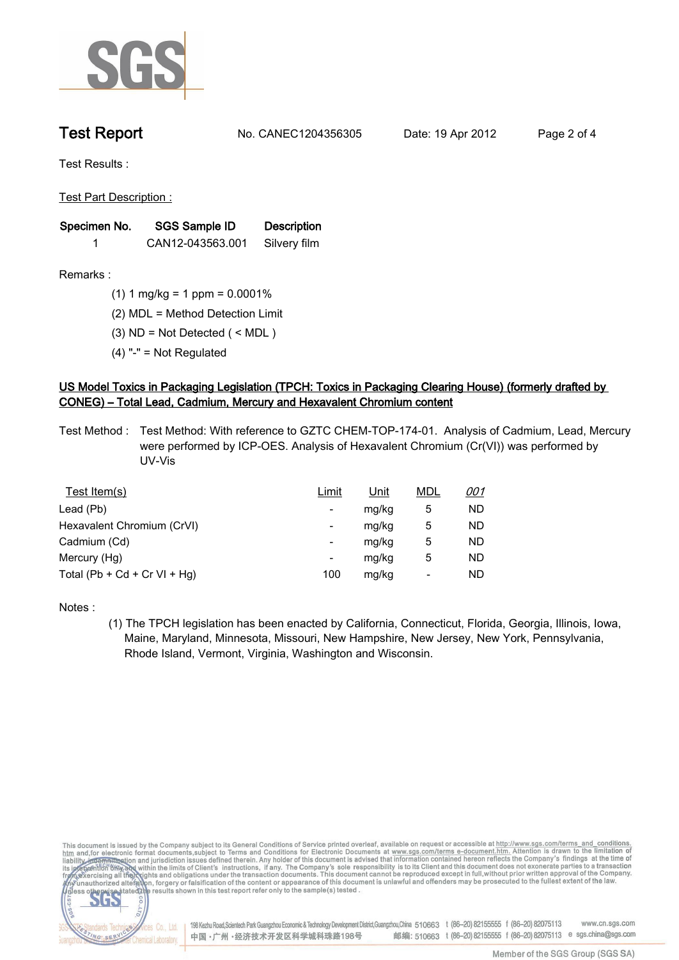

**Test Report. No. CANEC1204356305 Date: 19 Apr 2012. Page 2 of 4.**

**Test Results :.**

**Test Part Description :.**

| Specimen No. | SGS Sample ID    | <b>Description</b> |  |
|--------------|------------------|--------------------|--|
|              | CAN12-043563.001 | Silvery film       |  |

**Remarks :.(1) 1 mg/kg = 1 ppm = 0.0001%.**

**(2) MDL = Method Detection Limit.**

**(3) ND = Not Detected ( < MDL ).**

**(4) "-" = Not Regulated.**

## **US Model Toxics in Packaging Legislation (TPCH: Toxics in Packaging Clearing House) (formerly drafted by CONEG) – Total Lead, Cadmium, Mercury and Hexavalent Chromium content.**

**Test Method :. Test Method: With reference to GZTC CHEM-TOP-174-01. Analysis of Cadmium, Lead, Mercury were performed by ICP-OES. Analysis of Hexavalent Chromium (Cr(VI)) was performed by UV-Vis.**

| Test Item(s)                 | Limit | Unit  | <b>MDL</b> | <u>001</u> |
|------------------------------|-------|-------|------------|------------|
| Lead (Pb)                    | ۰     | mg/kg | 5          | ND         |
| Hexavalent Chromium (CrVI)   | -     | mg/kg | 5          | ND         |
| Cadmium (Cd)                 | -     | mg/kg | 5          | ND         |
| Mercury (Hg)                 |       | mg/kg | 5          | ND         |
| Total (Pb + Cd + Cr VI + Hg) | 100   | mg/kg | -          | ND         |

**Notes :.**

**(1) The TPCH legislation has been enacted by California, Connecticut, Florida, Georgia, Illinois, Iowa, Maine, Maryland, Minnesota, Missouri, New Hampshire, New Jersey, New York, Pennsylvania, Rhode Island, Vermont, Virginia, Washington and Wisconsin..**

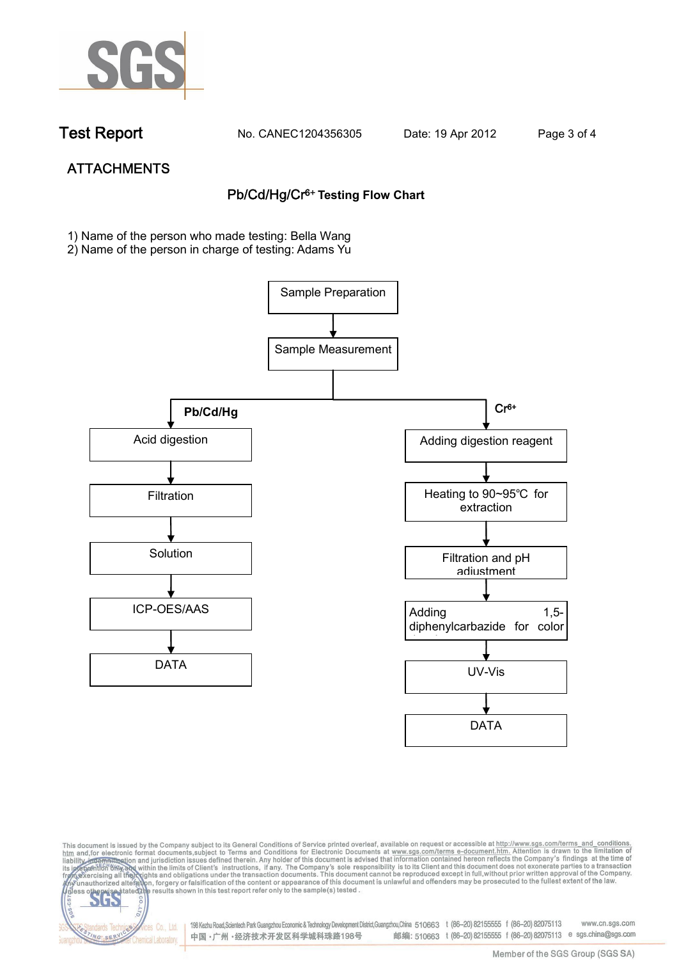

NG SER

**Chemical Laboratory** 

**Test Report. No. CANEC1204356305 Date: 19 Apr 2012. Page 3 of 4.**

# **ATTACHMENTS Pb/Cd/Hg/Cr6+ Testing Flow Chart**

**1)** Name of the person who made testing: Bella Wang

2) Name of the person in charge of testing: Adams Yu